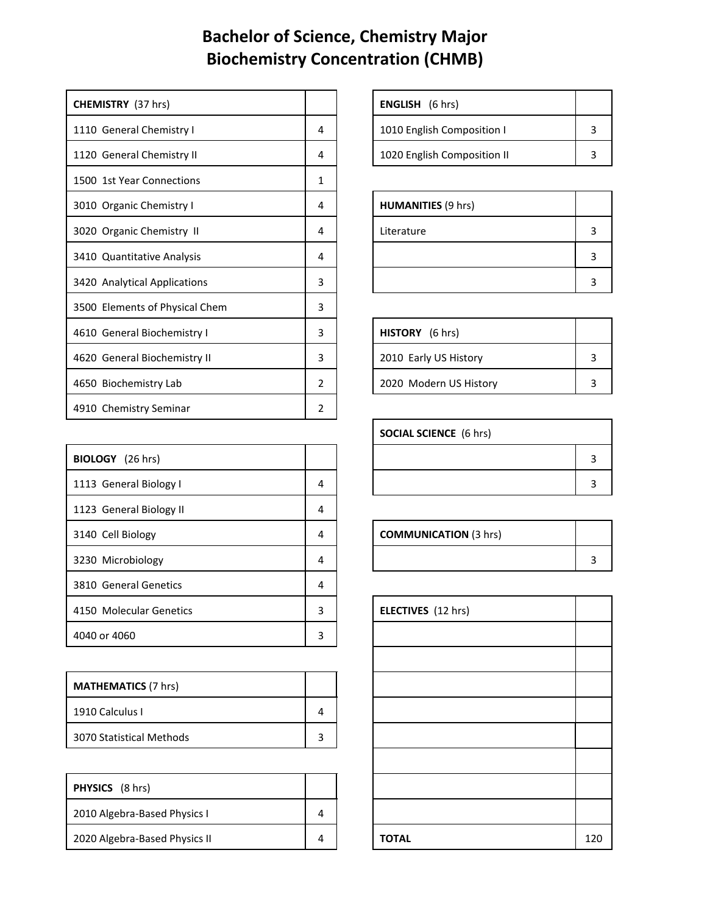## **Bachelor of Science, Chemistry Major Biochemistry Concentration (CHMB)**

| <b>CHEMISTRY</b> (37 hrs)      |               | <b>ENGLISH</b> (6 hrs)      |  |
|--------------------------------|---------------|-----------------------------|--|
| 1110 General Chemistry I       | 4             | 1010 English Composition I  |  |
| 1120 General Chemistry II      | 4             | 1020 English Composition II |  |
| 1500 1st Year Connections      | 1             |                             |  |
| 3010 Organic Chemistry I       | 4             | <b>HUMANITIES (9 hrs)</b>   |  |
| 3020 Organic Chemistry II      | 4             | Literature                  |  |
| 3410 Quantitative Analysis     | 4             |                             |  |
| 3420 Analytical Applications   | 3             |                             |  |
| 3500 Elements of Physical Chem | 3             |                             |  |
| 4610 General Biochemistry I    | 3             | HISTORY (6 hrs)             |  |
| 4620 General Biochemistry II   | 3             | 2010 Early US History       |  |
| 4650 Biochemistry Lab          | $\mathcal{P}$ | 2020 Modern US History      |  |
| 4910 Chemistry Seminar         | 2             |                             |  |

| BIOLOGY (26 hrs)        |   |                              | 3 |
|-------------------------|---|------------------------------|---|
| 1113 General Biology I  | 4 |                              | 3 |
| 1123 General Biology II | 4 |                              |   |
| 3140 Cell Biology       | 4 | <b>COMMUNICATION (3 hrs)</b> |   |
| 3230 Microbiology       | 4 |                              | 3 |
| 3810 General Genetics   | 4 |                              |   |
| 4150 Molecular Genetics | 3 | <b>ELECTIVES</b> (12 hrs)    |   |
| 4040 or 4060            | 3 |                              |   |

| <b>MATHEMATICS (7 hrs)</b> |  |
|----------------------------|--|
| 1910 Calculus I            |  |
| 3070 Statistical Methods   |  |

| <b>PHYSICS</b> (8 hrs)        |  |              |     |
|-------------------------------|--|--------------|-----|
| 2010 Algebra-Based Physics I  |  |              |     |
| 2020 Algebra-Based Physics II |  | <b>TOTAL</b> | 120 |

| <b>ENGLISH</b> (6 hrs)      |  |
|-----------------------------|--|
| 1010 English Composition I  |  |
| 1020 English Composition II |  |

| <b>HUMANITIES (9 hrs)</b> |   |
|---------------------------|---|
| Literature                | Р |
|                           | э |
|                           | э |

| HISTORY (6 hrs)        |  |
|------------------------|--|
| 2010 Early US History  |  |
| 2020 Modern US History |  |

| <b>SOCIAL SCIENCE</b> (6 hrs) |  |  |
|-------------------------------|--|--|
|                               |  |  |
|                               |  |  |

| <b>COMMUNICATION (3 hrs)</b> |  |
|------------------------------|--|
|                              |  |

| <b>ELECTIVES</b> (12 hrs) |     |
|---------------------------|-----|
|                           |     |
|                           |     |
|                           |     |
|                           |     |
|                           |     |
|                           |     |
|                           |     |
|                           |     |
| <b>TOTAL</b>              | 120 |